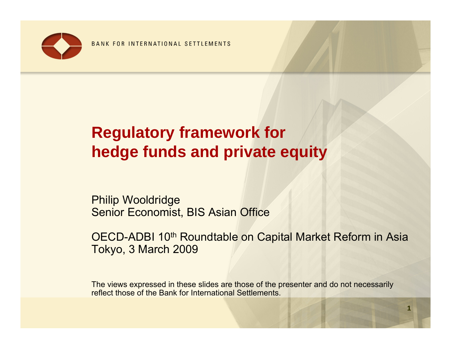

# **Regulatory framework for hedge funds and private equity**

Philip Wooldridge Senior Economist, BIS Asian Office

OECD-ADBI 10th Roundtable on Capital Market Reform in Asia Tokyo, 3 March 2009

The views expressed in these slides are those of the presenter and do not necessarily reflect those of the Bank for International Settlements.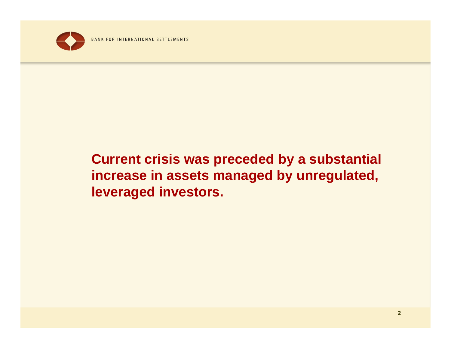

## **Current crisis was preceded by a substantial increase in assets managed by unregulated, leveraged investors.**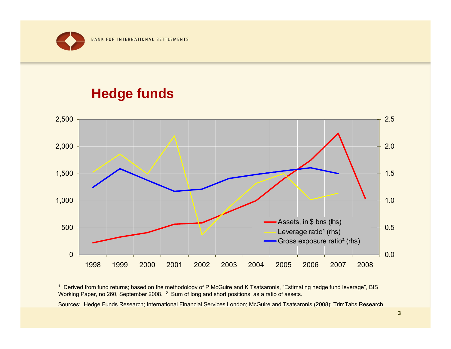#### **Hedge funds**



<sup>1</sup> Derived from fund returns; based on the methodology of P McGuire and K Tsatsaronis, "Estimating hedge fund leverage", BIS Working Paper, no 260, September 2008. 2 Sum of long and short positions, as a ratio of assets.

Sources: Hedge Funds Research; International Financial Services London; McGuire and Tsatsaronis (2008); TrimTabs Research.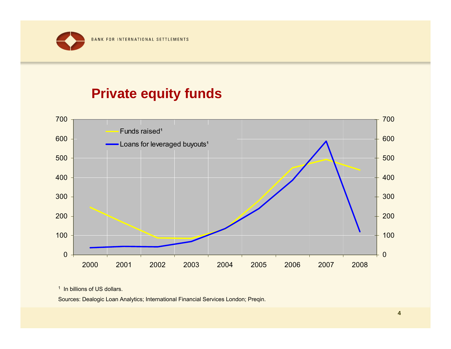#### **Private equity funds**



<sup>1</sup> In billions of US dollars.

Sources: Dealogic Loan Analytics; International Financial Services London; Preqin.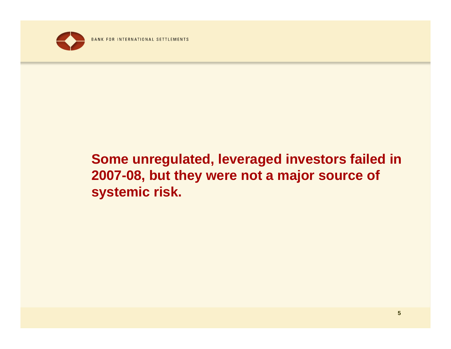

## **Some unregulated, leveraged investors failed in 2007-08, but they were not a major source of systemic risk.**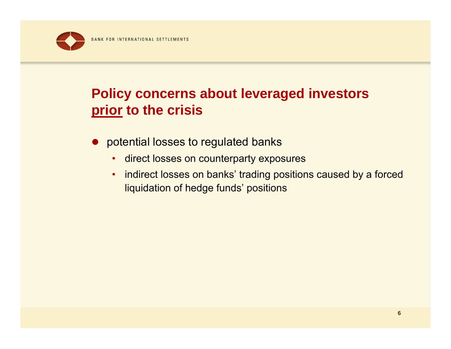

### **Policy concerns about leveraged investors prior to the crisis**

- potential losses to regulated banks
	- direct losses on counterparty exposures
	- indirect losses on banks' trading positions caused by a forced liquidation of hedge funds' positions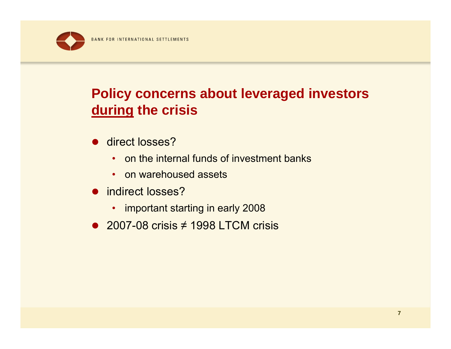

## **Policy concerns about leveraged investors during the crisis**

- direct losses?
	- on the internal funds of investment banks
	- on warehoused assets
- indirect losses?
	- important starting in early 2008
- $\bullet$  2007-08 crisis  $\neq$  1998 LTCM crisis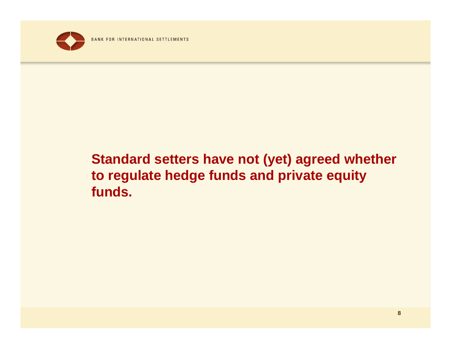

## **Standard setters have not (yet) agreed whether to regulate hedge funds and private equity funds.**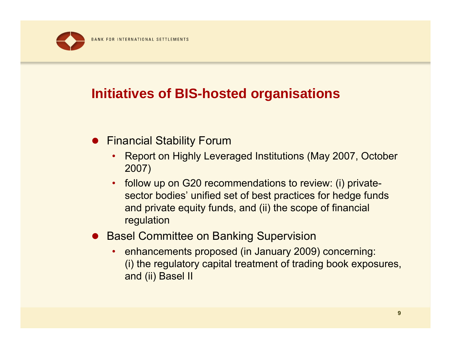

#### **Initiatives of BIS-hosted organisations**

- **Financial Stability Forum** 
	- • Report on Highly Leveraged Institutions (May 2007, October 2007)
	- • follow up on G20 recommendations to review: (i) privatesector bodies' unified set of best practices for hedge funds and private equity funds, and (ii) the scope of financial regulation
- **Basel Committee on Banking Supervision** 
	- • enhancements proposed (in January 2009) concerning: (i) the regulatory capital treatment of trading book exposures, and (ii) Basel II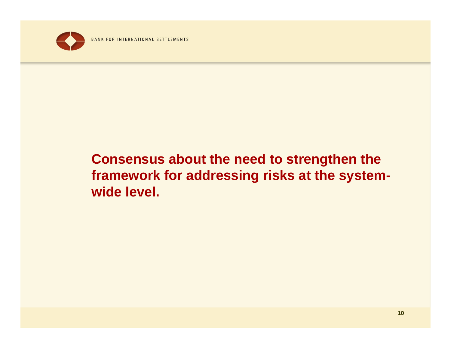

### **Consensus about the need to strengthen the framework for addressing risks at the systemwide level.**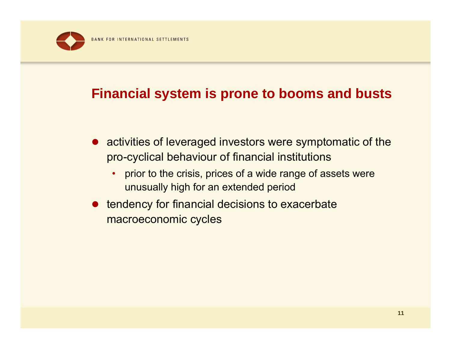### **Financial system is prone to booms and busts**

- activities of leveraged investors were symptomatic of the pro-cyclical behaviour of financial institutions
	- • prior to the crisis, prices of a wide range of assets were unusually high for an extended period
- $\bullet$  tendency for financial decisions to exacerbate macroeconomic cycles